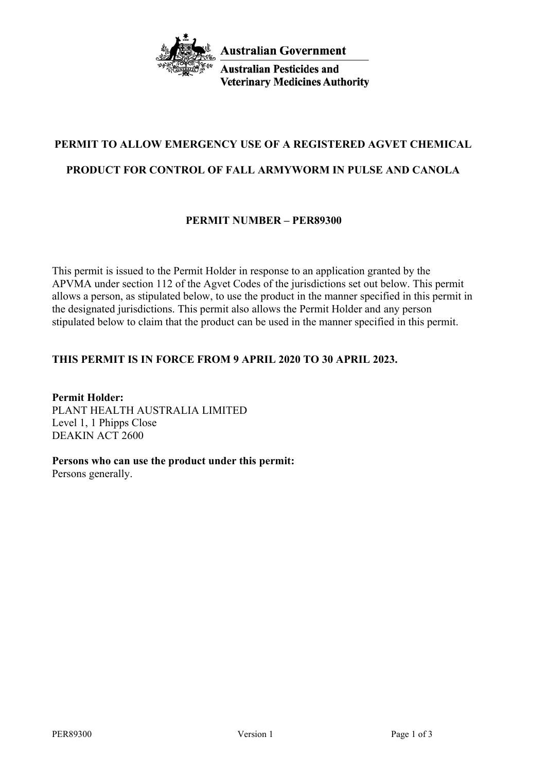

**Australian Pesticides and Veterinary Medicines Authority** 

# **PERMIT TO ALLOW EMERGENCY USE OF A REGISTERED AGVET CHEMICAL**

# **PRODUCT FOR CONTROL OF FALL ARMYWORM IN PULSE AND CANOLA**

# **PERMIT NUMBER – PER89300**

This permit is issued to the Permit Holder in response to an application granted by the APVMA under section 112 of the Agvet Codes of the jurisdictions set out below. This permit allows a person, as stipulated below, to use the product in the manner specified in this permit in the designated jurisdictions. This permit also allows the Permit Holder and any person stipulated below to claim that the product can be used in the manner specified in this permit.

## **THIS PERMIT IS IN FORCE FROM 9 APRIL 2020 TO 30 APRIL 2023.**

**Permit Holder:** PLANT HEALTH AUSTRALIA LIMITED Level 1, 1 Phipps Close DEAKIN ACT 2600

**Persons who can use the product under this permit:** Persons generally.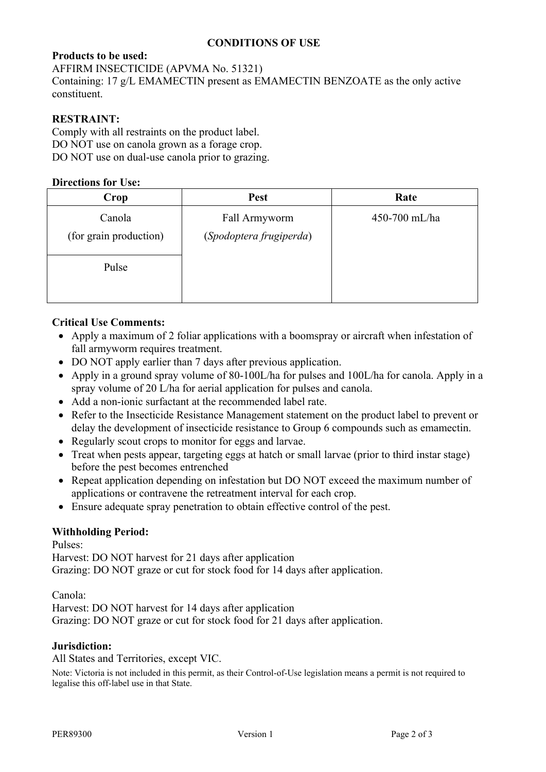## **CONDITIONS OF USE**

### **Products to be used:**

AFFIRM INSECTICIDE (APVMA No. 51321) Containing: 17 g/L EMAMECTIN present as EMAMECTIN BENZOATE as the only active constituent.

#### **RESTRAINT:**

Comply with all restraints on the product label. DO NOT use on canola grown as a forage crop. DO NOT use on dual-use canola prior to grazing.

#### **Directions for Use:**

| Crop                   | <b>Pest</b>             | Rate          |
|------------------------|-------------------------|---------------|
| Canola                 | Fall Armyworm           | 450-700 mL/ha |
| (for grain production) | (Spodoptera frugiperda) |               |
|                        |                         |               |
| Pulse                  |                         |               |
|                        |                         |               |
|                        |                         |               |

#### **Critical Use Comments:**

- Apply a maximum of 2 foliar applications with a boomspray or aircraft when infestation of fall armyworm requires treatment.
- DO NOT apply earlier than 7 days after previous application.
- Apply in a ground spray volume of 80-100L/ha for pulses and 100L/ha for canola. Apply in a spray volume of 20 L/ha for aerial application for pulses and canola.
- Add a non-ionic surfactant at the recommended label rate.
- Refer to the Insecticide Resistance Management statement on the product label to prevent or delay the development of insecticide resistance to Group 6 compounds such as emamectin.
- Regularly scout crops to monitor for eggs and larvae.
- Treat when pests appear, targeting eggs at hatch or small larvae (prior to third instar stage) before the pest becomes entrenched
- Repeat application depending on infestation but DO NOT exceed the maximum number of applications or contravene the retreatment interval for each crop.
- Ensure adequate spray penetration to obtain effective control of the pest.

#### **Withholding Period:**

Pulses:

Harvest: DO NOT harvest for 21 days after application Grazing: DO NOT graze or cut for stock food for 14 days after application.

Canola:

Harvest: DO NOT harvest for 14 days after application Grazing: DO NOT graze or cut for stock food for 21 days after application.

#### **Jurisdiction:**

All States and Territories, except VIC.

Note: Victoria is not included in this permit, as their Control-of-Use legislation means a permit is not required to legalise this off-label use in that State.